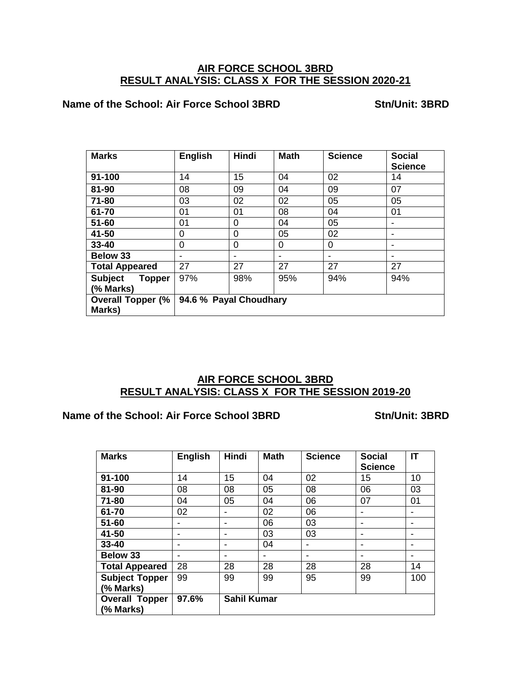## **AIR FORCE SCHOOL 3BRD RESULT ANALYSIS: CLASS X FOR THE SESSION 2020-21**

### **Name of the School: Air Force School 3BRD Stn/Unit: 3BRD**

| <b>Marks</b>                       | <b>English</b>         | <b>Hindi</b> | <b>Math</b>              | <b>Science</b> | <b>Social</b><br><b>Science</b> |
|------------------------------------|------------------------|--------------|--------------------------|----------------|---------------------------------|
| $91 - 100$                         | 14                     | 15           | 04                       | 02             | 14                              |
| 81-90                              | 08                     | 09           | 04                       | 09             | 07                              |
| 71-80                              | 03                     | 02           | 02                       | 05             | 05                              |
| 61-70                              | 01                     | 01           | 08                       | 04             | 01                              |
| $51 - 60$                          | 01                     | $\Omega$     | 04                       | 05             |                                 |
| 41-50                              | 0                      | 0            | 05                       | 02             |                                 |
| 33-40                              | 0                      | $\Omega$     | 0                        | $\Omega$       |                                 |
| <b>Below 33</b>                    |                        |              | $\overline{\phantom{a}}$ |                |                                 |
| <b>Total Appeared</b>              | 27                     | 27           | 27                       | 27             | 27                              |
| <b>Subject</b><br><b>Topper</b>    | 97%                    | 98%          | 95%                      | 94%            | 94%                             |
| (% Marks)                          |                        |              |                          |                |                                 |
| <b>Overall Topper (%</b><br>Marks) | 94.6 % Payal Choudhary |              |                          |                |                                 |

## **AIR FORCE SCHOOL 3BRD RESULT ANALYSIS: CLASS X FOR THE SESSION 2019-20**

#### **Name of the School: Air Force School 3BRD Stn/Unit: 3BRD**

| <b>Marks</b>                       | <b>English</b>           | <b>Hindi</b>             | <b>Math</b> | <b>Science</b>           | <b>Social</b><br><b>Science</b> | IT  |
|------------------------------------|--------------------------|--------------------------|-------------|--------------------------|---------------------------------|-----|
| 91-100                             | 14                       | 15                       | 04          | 02                       | 15                              | 10  |
| 81-90                              | 08                       | 08                       | 05          | 08                       | 06                              | 03  |
| 71-80                              | 04                       | 05                       | 04          | 06                       | 07                              | 01  |
| 61-70                              | 02                       | $\overline{\phantom{0}}$ | 02          | 06                       | $\overline{\phantom{0}}$        |     |
| $51 - 60$                          | $\overline{\phantom{a}}$ | $\overline{\phantom{0}}$ | 06          | 03                       | $\overline{\phantom{0}}$        |     |
| 41-50                              | $\overline{\phantom{a}}$ |                          | 03          | 03                       | $\overline{\phantom{0}}$        |     |
| $33 - 40$                          | $\overline{\phantom{a}}$ |                          | 04          | $\overline{\phantom{0}}$ | $\overline{\phantom{0}}$        |     |
| <b>Below 33</b>                    | $\overline{\phantom{a}}$ | $\overline{\phantom{0}}$ |             | $\overline{\phantom{0}}$ | $\overline{\phantom{0}}$        |     |
| <b>Total Appeared</b>              | 28                       | 28                       | 28          | 28                       | 28                              | 14  |
| <b>Subject Topper</b><br>(% Marks) | 99                       | 99                       | 99          | 95                       | 99                              | 100 |
| <b>Overall Topper</b><br>(% Marks) | 97.6%                    | <b>Sahil Kumar</b>       |             |                          |                                 |     |